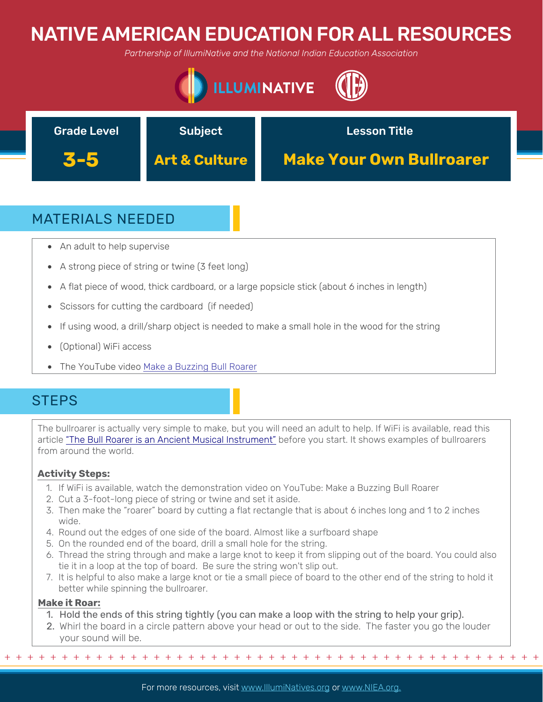# NATIVE AMERICAN EDUCATION FOR ALL RESOURCES

*Partnership of IllumiNative and the National Indian Education Association*





## MATERIALS NEEDED

- An adult to help supervise
- A strong piece of string or twine (3 feet long)
- A flat piece of wood, thick cardboard, or a large popsicle stick (about 6 inches in length)
- Scissors for cutting the cardboard (if needed)
- If using wood, a drill/sharp object is needed to make a small hole in the wood for the string
- (Optional) WiFi access
- The YouTube video [Make a Buzzing Bull Roarer](https://www.youtube.com/watch?v=Gy05kWu88u0)

## **STEPS**

The bullroarer is actually very simple to make, but you will need an adult to help. If WiFi is available, read this article ["The Bull Roarer is an Ancient Musical Instrument"](https://www.thevintagenews.com/2016/12/15/the-bullroarer-is-an-ancient-musical-instrument-and-device-dating-from-17000-bc/) before you start. It shows examples of bullroarers from around the world.

### **Activity Steps:**

- 1. If WiFi is available, watch the demonstration video on YouTube: Make a Buzzing Bull Roarer
- 2. Cut a 3-foot-long piece of string or twine and set it aside.
- 3. Then make the "roarer" board by cutting a flat rectangle that is about 6 inches long and 1 to 2 inches wide.
- 4. Round out the edges of one side of the board. Almost like a surfboard shape
- 5. On the rounded end of the board, drill a small hole for the string.
- 6. Thread the string through and make a large knot to keep it from slipping out of the board. You could also tie it in a loop at the top of board. Be sure the string won't slip out.
- 7. It is helpful to also make a large knot or tie a small piece of board to the other end of the string to hold it better while spinning the bullroarer.

### **Make it Roar:**

- 1. Hold the ends of this string tightly (you can make a loop with the string to help your grip).
- 2. Whirl the board in a circle pattern above your head or out to the side. The faster you go the louder your sound will be.

+ + + + + + + + + + + + + + + + + + + + + + + + + + + + + + + + + + + + + + + + + + + + + + + +

For more resources, visit www.lllumiNatives.org or www.NIEA.org.